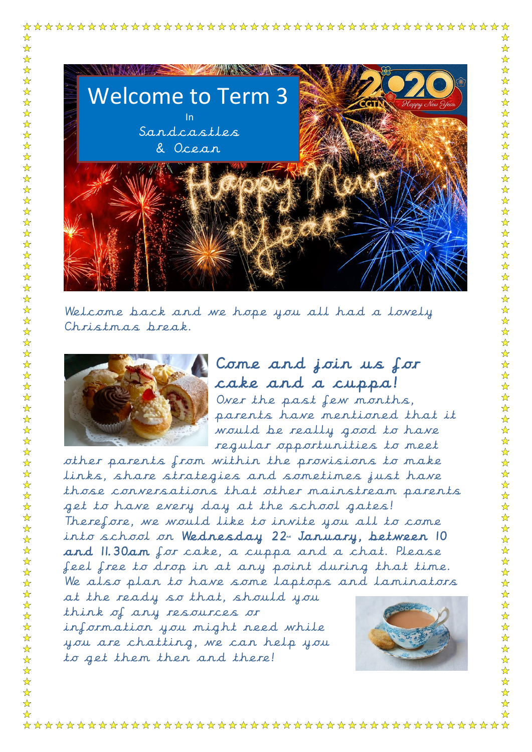

Welcome back and we hope you all had a lovely Christmas break.



☆  $\frac{1}{\mathbf{k}}$  $\frac{1}{\sqrt{2}}$  $\frac{1}{\mathcal{N}}$  $\frac{1}{\sqrt{2}}$  $\frac{1}{\sqrt{2}}$ 

 $\frac{1}{\sqrt{2}}$ 

24 24 2

☆

 $\frac{1}{\sqrt{2}}$ 

 $\frac{1}{\sqrt{2}}$ 

☆

☆

 $\frac{1}{\sqrt{2}}$ 

 $-\frac{1}{2}$ 

 $\frac{1}{\sqrt{2}}$ 

 $\frac{1}{\sqrt{2}}$ 

 $\frac{1}{\sqrt{2}}$ 

☆ ☆ ☆ ☆

 $\frac{1}{\sqrt{2}}$ 

 $\frac{1}{\sqrt{2}}$ 

 $\frac{1}{\sqrt{2}}$ 

 $\frac{1}{\sqrt{2}}$ 

☆

☆

 $\frac{\lambda}{\lambda}$ 

 $\frac{1}{\sqrt{2}}$ 

 $\frac{1}{\sqrt{2}}$ 

 $\frac{1}{\sqrt{2}}$ 

 $\frac{\lambda}{\lambda}$ 

 $\frac{1}{\mathbf{k}^2}$ 

 $\frac{\lambda}{\lambda}$ 

 $\frac{1}{2}$ 

☆

☆

☆  $\frac{1}{\sqrt{2}}$ 

 $\frac{1}{\sqrt{2}}$ ☆

 $\frac{1}{\sqrt{2}}$  $\frac{1}{\sqrt{2}}$ ☆

 $\frac{1}{\sqrt{2}}$ 

Come and join us for cake and a cuppa! Over the past few months, parents have mentioned that it would be really good to have regular opportunities to meet

other parents from within the provisions to make links, share strategies and sometimes just have those conversations that other mainstream parents get to have every day at the school gates! Therefore, we would like to invite you all to come into school on Wednesday 22 January, between 10 and 11.30am for cake, a cuppa and a chat. Please feel free to drop in at any point during that time. We also plan to have some laptops and laminators at the ready so that, should you

think of any resources or information you might need while you are chatting, we can help you to get them then and there!



 $\mathbf{\hat{x}}$ 

 $\mathbf{r}$ 

 $\frac{1}{\sqrt{2}}$  $\blacklozenge$ 

☆  $\mathbf{\hat{z}}$ 

 $\mathbf{\hat{z}}$ 

 $\mathbf{\hat{x}}$ 

 $\mathbf{\hat{z}}$ 

☆

☆

☆

 $\mathbf{r}$ 

 $\frac{1}{\sqrt{2}}$ 

 $\blacktriangle$  $\mathbf{\hat{z}}$ 

☆

☆

 $\mathbf{\hat{x}}$ 

 $\frac{1}{\mathbf{k}^2}$ 

☆

 $\frac{\lambda}{\lambda}$  $\frac{1}{\mathcal{N}}$ 

 $\mathbf{\hat{z}}$ 

 $\mathbf{r}$ 

 $\mathbf{\hat{z}}$ 

☆

 $\frac{1}{\sqrt{2}}$ 

 $\mathbf{\hat{z}}$ 

 $\frac{1}{\mathcal{N}}$ 

 $\frac{\lambda}{\lambda}$ 

☆

☆  $\frac{1}{\sqrt{2}}$ 

 $\mathbf{\hat{z}}$ 

 $\mathbf{\hat{x}}$ 

 $\mathbf{\hat{x}}$ 

 $\mathbf{r}$ 

 $\mathbf{\hat{x}}$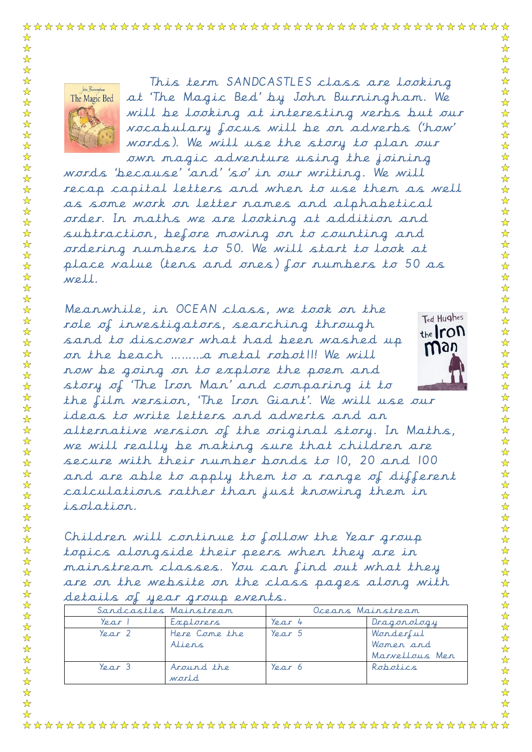words). We will use the story to plan our own magic adventure using the joining words 'because' 'and' 'so' in our writing. We will recap capital letters and when to use them as well as some work on letter names and alphabetical order. In maths we are looking at addition and subtraction, before moving on to counting and ordering numbers to 50. We will start to look at place value (tens and ones) for numbers to 50 as well.

Meanwhile, in OCEAN class, we took on the role of investigators, searching through sand to discover what had been washed up on the beach ………a metal robot11! We will now be going on to explore the poem and story of 'The Iron Man' and comparing it to



☆

 $\frac{1}{\mathbf{k}}$ 

 $\frac{1}{\mathcal{N}}$  $\frac{1}{\sqrt{2}}$ 

 $\frac{1}{\sqrt{2}}$ 

 $\frac{1}{\sqrt{2}}$  $\frac{1}{\sqrt{2}}$ 

 $\frac{\lambda}{\lambda}$ XXXX

 $\frac{1}{\mathcal{N}}$ 

 $\frac{1}{\sqrt{2}}$ 

 $\frac{\lambda}{\lambda}$ 

 $\frac{1}{\sqrt{2}}$ 

 $\frac{1}{\sqrt{2}}$ 

 $\frac{1}{\mathcal{N}}$ 

 $\frac{1}{\mathbf{k}}$ 

 $\frac{1}{\sqrt{2}}$ 

 $\frac{1}{\mathcal{N}}$ 작 차 :

 $\frac{1}{\mathcal{N}}$ 

 $\frac{1}{\mathbf{k}}$ 

☆

☆

 $\frac{1}{\sqrt{2}}$  $\frac{1}{\sqrt{2}}$ 

☆

 $\mathbf{r}$  $\frac{1}{2}$ 55年  $\frac{1}{\mathbf{k}}$ 

 $\frac{1}{\sqrt{2}}$  $\frac{1}{\mathcal{N}}$ 

 $\frac{1}{\mathbf{k}}$ 

 $\frac{1}{2}$  $\frac{1}{\sqrt{2}}$ 

 $\frac{1}{\sqrt{2}}$ 

 $\frac{1}{\sqrt{2}}$ 

 $\frac{1}{\mathcal{N}}$ 

55 55 7

☆

 $\frac{1}{\sqrt{2}}$ 

 $\frac{1}{\sqrt{2}}$ 

 $\frac{1}{\sqrt{2}}$ 

24 24 2

 $\frac{1}{\sqrt{2}}$  $\frac{1}{\sqrt{2}}$ 

毕毕毕

 $\mathbf{\hat{x}}$ 

 $\mathbf{r}$  $\mathbf{\hat{x}}$ 

the film version, 'The Iron Giant'. We will use our ideas to write letters and adverts and an alternative version of the original story. In Maths, we will really be making sure that children are secure with their number bonds to 10, 20 and 100 and are able to apply them to a range of different calculations rather than just knowing them in isolation.

Children will continue to follow the Year group topics alongside their peers when they are in mainstream classes. You can find out what they are on the website on the class pages along with details of year group events.

| Sandcastles Mainstream       |                         | Oceans Mainstream            |                                          |
|------------------------------|-------------------------|------------------------------|------------------------------------------|
| Year                         | Explorers               | $\gamma_{\ell, \alpha, r}$ 4 | Dragonology                              |
| $\gamma_{\rho, \alpha, r}$ ) | Here Come the<br>Aliens | $\gamma_{\ell, \alpha, r}$ 5 | Wonderful<br>Women and<br>Marvellous Men |
| $\gamma_{\rho, \alpha, r}$ 3 | Around the<br>world.    | $\gamma_{\rho, \alpha, r}$ 6 | Robotics                                 |

John Runningham

The Magic Bed